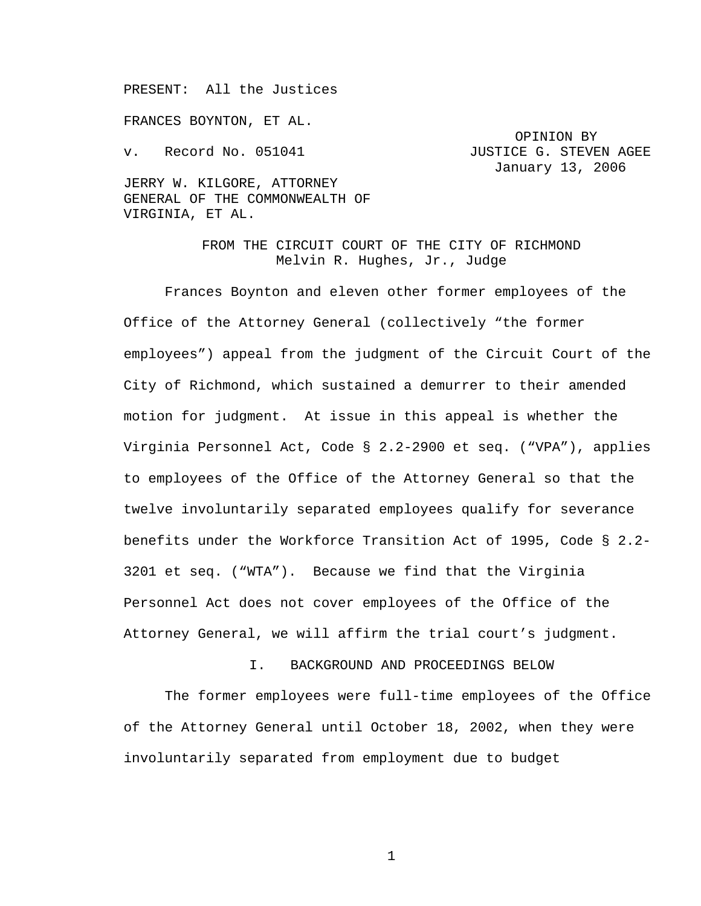PRESENT: All the Justices

FRANCES BOYNTON, ET AL.

OPINION BY v. Record No. 051041 JUSTICE G. STEVEN AGEE January 13, 2006

JERRY W. KILGORE, ATTORNEY GENERAL OF THE COMMONWEALTH OF VIRGINIA, ET AL.

> FROM THE CIRCUIT COURT OF THE CITY OF RICHMOND Melvin R. Hughes, Jr., Judge

Frances Boynton and eleven other former employees of the Office of the Attorney General (collectively "the former employees") appeal from the judgment of the Circuit Court of the City of Richmond, which sustained a demurrer to their amended motion for judgment. At issue in this appeal is whether the Virginia Personnel Act, Code § 2.2-2900 et seq. ("VPA"), applies to employees of the Office of the Attorney General so that the twelve involuntarily separated employees qualify for severance benefits under the Workforce Transition Act of 1995, Code § 2.2- 3201 et seq. ("WTA"). Because we find that the Virginia Personnel Act does not cover employees of the Office of the Attorney General, we will affirm the trial court's judgment.

I. BACKGROUND AND PROCEEDINGS BELOW

The former employees were full-time employees of the Office of the Attorney General until October 18, 2002, when they were involuntarily separated from employment due to budget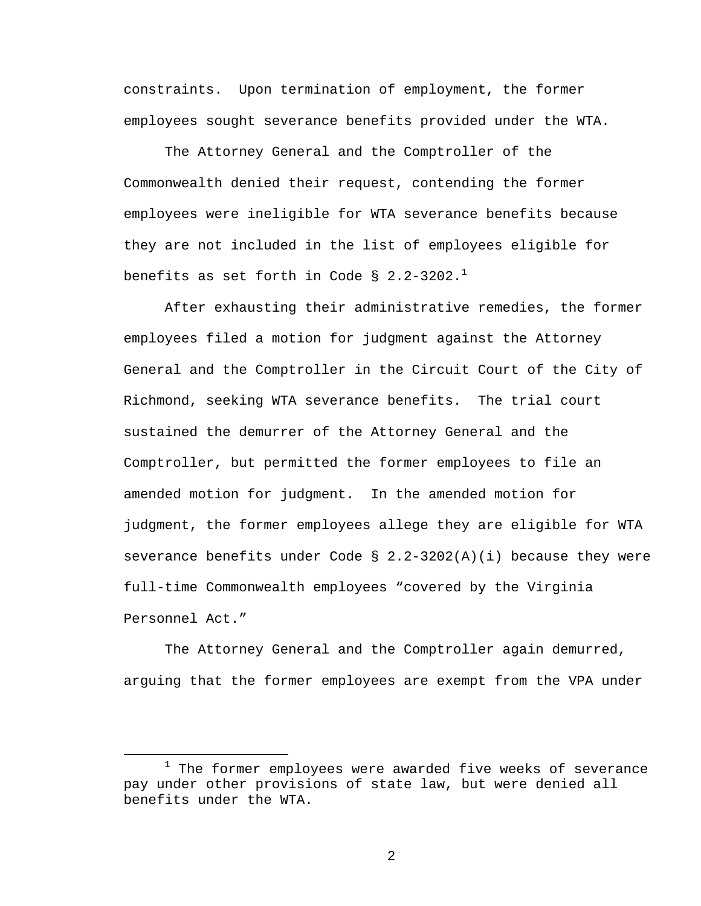constraints. Upon termination of employment, the former employees sought severance benefits provided under the WTA.

The Attorney General and the Comptroller of the Commonwealth denied their request, contending the former employees were ineligible for WTA severance benefits because they are not included in the list of employees eligible for benefits as set forth in Code § 2.2-3202.<sup>1</sup>

After exhausting their administrative remedies, the former employees filed a motion for judgment against the Attorney General and the Comptroller in the Circuit Court of the City of Richmond, seeking WTA severance benefits. The trial court sustained the demurrer of the Attorney General and the Comptroller, but permitted the former employees to file an amended motion for judgment. In the amended motion for judgment, the former employees allege they are eligible for WTA severance benefits under Code §  $2.2-3202(A)(i)$  because they were full-time Commonwealth employees "covered by the Virginia Personnel Act."

The Attorney General and the Comptroller again demurred, arguing that the former employees are exempt from the VPA under

<sup>&</sup>lt;u>1</u>  $1$  The former employees were awarded five weeks of severance pay under other provisions of state law, but were denied all benefits under the WTA.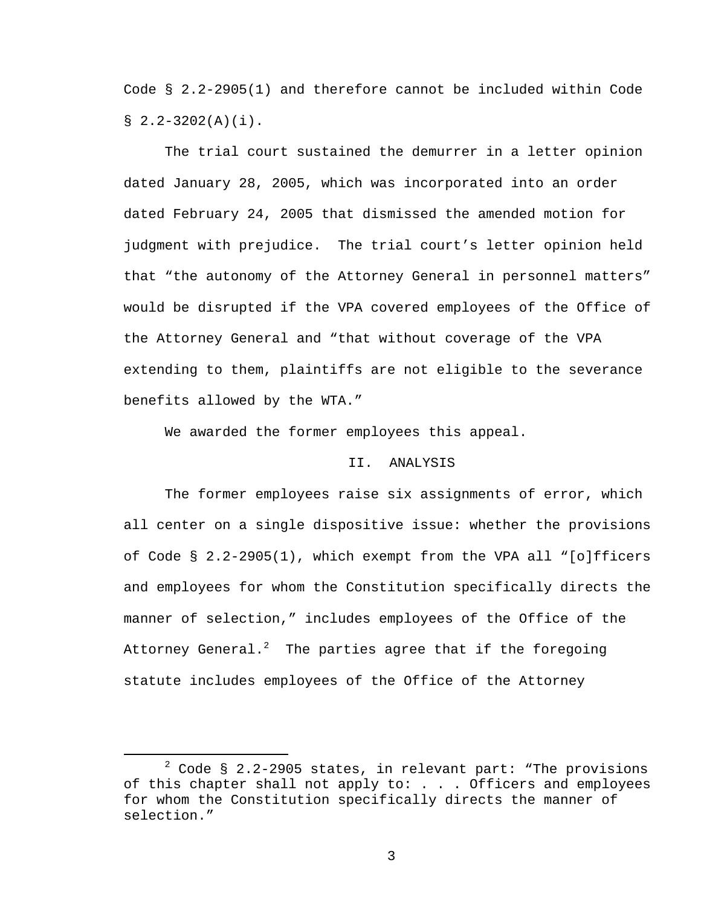Code § 2.2-2905(1) and therefore cannot be included within Code  $$2.2-3202(A)(i)$ .

The trial court sustained the demurrer in a letter opinion dated January 28, 2005, which was incorporated into an order dated February 24, 2005 that dismissed the amended motion for judgment with prejudice. The trial court's letter opinion held that "the autonomy of the Attorney General in personnel matters" would be disrupted if the VPA covered employees of the Office of the Attorney General and "that without coverage of the VPA extending to them, plaintiffs are not eligible to the severance benefits allowed by the WTA."

We awarded the former employees this appeal.

## II. ANALYSIS

The former employees raise six assignments of error, which all center on a single dispositive issue: whether the provisions of Code § 2.2-2905(1), which exempt from the VPA all "[o]fficers and employees for whom the Constitution specifically directs the manner of selection," includes employees of the Office of the Attorney General. $^2$  The parties agree that if the foregoing statute includes employees of the Office of the Attorney

 $\overline{\phantom{a}}$  $2$  Code § 2.2-2905 states, in relevant part: "The provisions of this chapter shall not apply to: . . . Officers and employees for whom the Constitution specifically directs the manner of selection."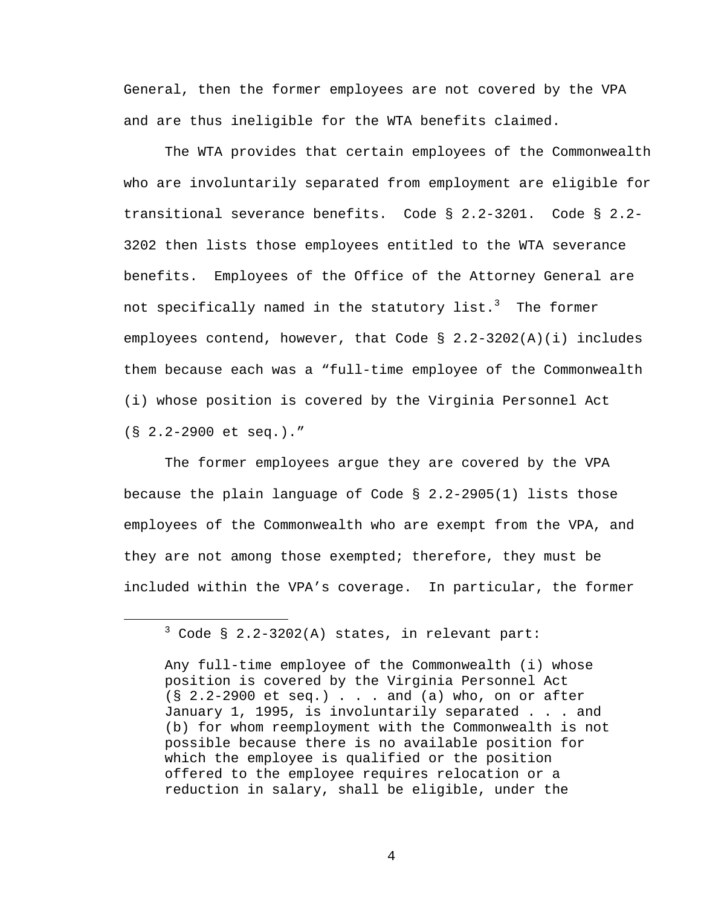General, then the former employees are not covered by the VPA and are thus ineligible for the WTA benefits claimed.

The WTA provides that certain employees of the Commonwealth who are involuntarily separated from employment are eligible for transitional severance benefits. Code § 2.2-3201. Code § 2.2- 3202 then lists those employees entitled to the WTA severance benefits. Employees of the Office of the Attorney General are not specifically named in the statutory list. $^3$  The former employees contend, however, that Code § 2.2-3202(A)(i) includes them because each was a "full-time employee of the Commonwealth (i) whose position is covered by the Virginia Personnel Act (§ 2.2-2900 et seq.)."

The former employees argue they are covered by the VPA because the plain language of Code § 2.2-2905(1) lists those employees of the Commonwealth who are exempt from the VPA, and they are not among those exempted; therefore, they must be included within the VPA's coverage. In particular, the former

 $\frac{1}{3}$  $3$  Code § 2.2-3202(A) states, in relevant part:

Any full-time employee of the Commonwealth (i) whose position is covered by the Virginia Personnel Act (§ 2.2-2900 et seq.) . . . and (a) who, on or after January 1, 1995, is involuntarily separated . . . and (b) for whom reemployment with the Commonwealth is not possible because there is no available position for which the employee is qualified or the position offered to the employee requires relocation or a reduction in salary, shall be eligible, under the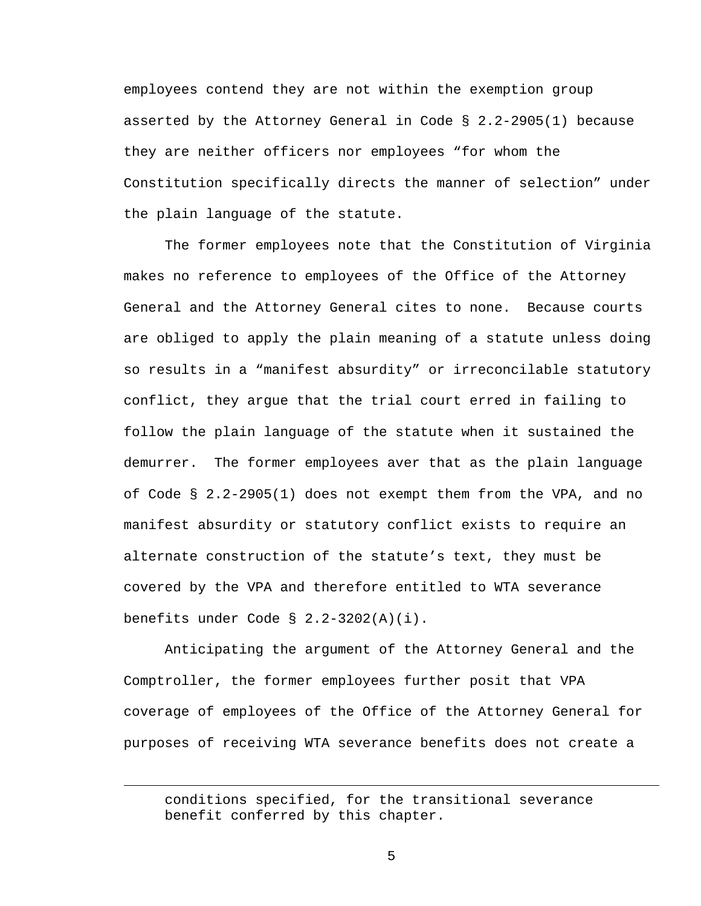employees contend they are not within the exemption group asserted by the Attorney General in Code  $\S$  2.2-2905(1) because they are neither officers nor employees "for whom the Constitution specifically directs the manner of selection" under the plain language of the statute.

The former employees note that the Constitution of Virginia makes no reference to employees of the Office of the Attorney General and the Attorney General cites to none. Because courts are obliged to apply the plain meaning of a statute unless doing so results in a "manifest absurdity" or irreconcilable statutory conflict, they argue that the trial court erred in failing to follow the plain language of the statute when it sustained the demurrer. The former employees aver that as the plain language of Code § 2.2-2905(1) does not exempt them from the VPA, and no manifest absurdity or statutory conflict exists to require an alternate construction of the statute's text, they must be covered by the VPA and therefore entitled to WTA severance benefits under Code § 2.2-3202(A)(i).

Anticipating the argument of the Attorney General and the Comptroller, the former employees further posit that VPA coverage of employees of the Office of the Attorney General for purposes of receiving WTA severance benefits does not create a

 $\overline{\phantom{0}}$ 

conditions specified, for the transitional severance benefit conferred by this chapter.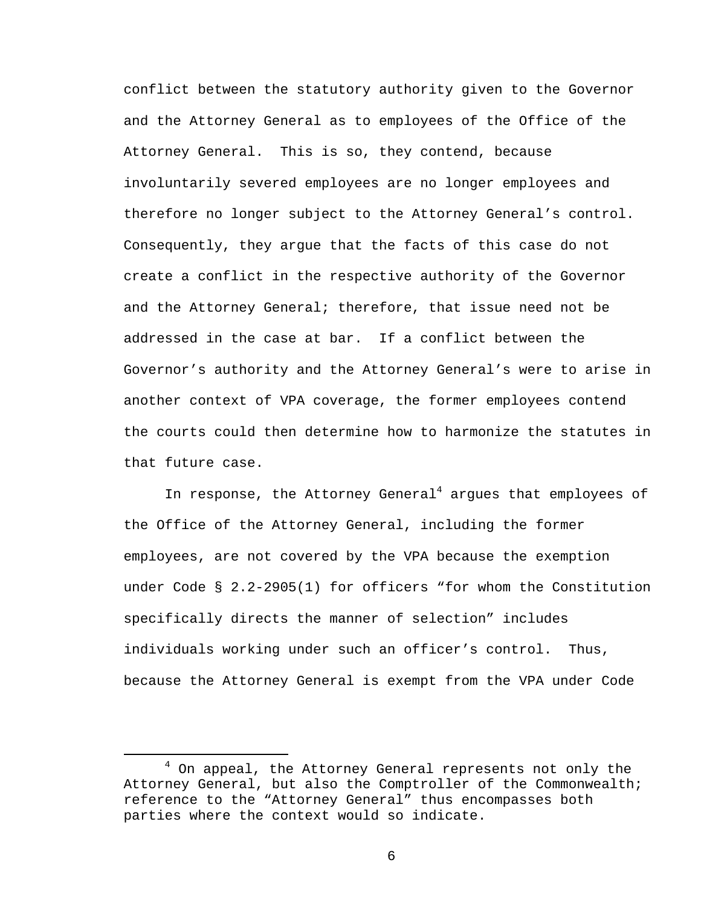conflict between the statutory authority given to the Governor and the Attorney General as to employees of the Office of the Attorney General. This is so, they contend, because involuntarily severed employees are no longer employees and therefore no longer subject to the Attorney General's control. Consequently, they argue that the facts of this case do not create a conflict in the respective authority of the Governor and the Attorney General; therefore, that issue need not be addressed in the case at bar. If a conflict between the Governor's authority and the Attorney General's were to arise in another context of VPA coverage, the former employees contend the courts could then determine how to harmonize the statutes in that future case.

In response, the Attorney General<sup>4</sup> argues that employees of the Office of the Attorney General, including the former employees, are not covered by the VPA because the exemption under Code § 2.2-2905(1) for officers "for whom the Constitution specifically directs the manner of selection" includes individuals working under such an officer's control. Thus, because the Attorney General is exempt from the VPA under Code

 $\overline{4}$  $4$  On appeal, the Attorney General represents not only the Attorney General, but also the Comptroller of the Commonwealth; reference to the "Attorney General" thus encompasses both parties where the context would so indicate.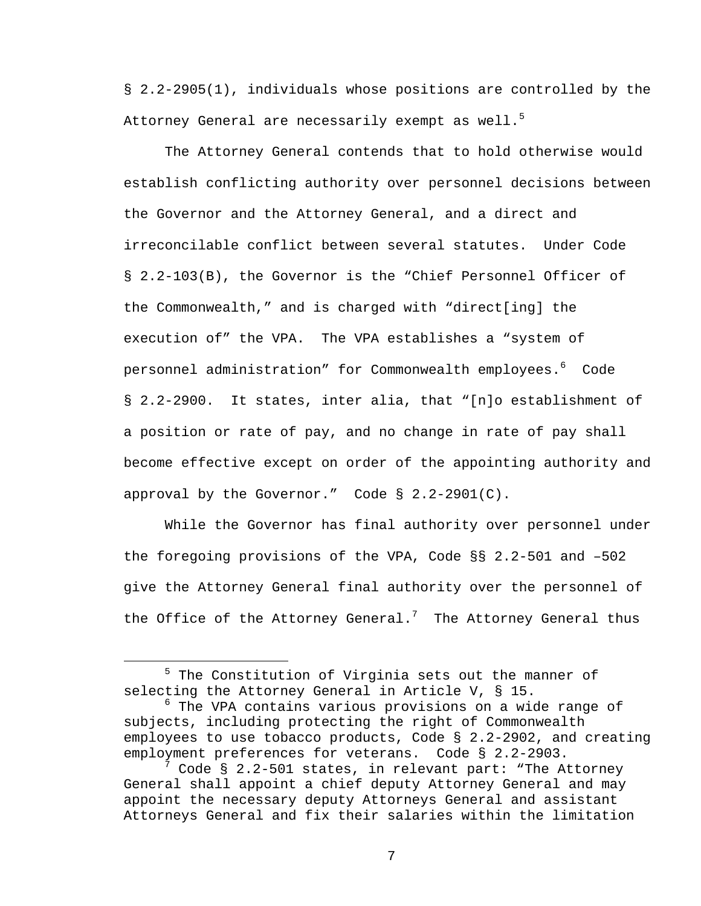§ 2.2-2905(1), individuals whose positions are controlled by the Attorney General are necessarily exempt as well.<sup>5</sup>

The Attorney General contends that to hold otherwise would establish conflicting authority over personnel decisions between the Governor and the Attorney General, and a direct and irreconcilable conflict between several statutes. Under Code § 2.2-103(B), the Governor is the "Chief Personnel Officer of the Commonwealth," and is charged with "direct[ing] the execution of" the VPA. The VPA establishes a "system of personnel administration" for Commonwealth employees. $^6$  Code § 2.2-2900. It states, inter alia, that "[n]o establishment of a position or rate of pay, and no change in rate of pay shall become effective except on order of the appointing authority and approval by the Governor." Code  $\S$  2.2-2901(C).

While the Governor has final authority over personnel under the foregoing provisions of the VPA, Code §§ 2.2-501 and –502 give the Attorney General final authority over the personnel of the Office of the Attorney General.<sup>7</sup> The Attorney General thus

 $\frac{1}{5}$  $5$  The Constitution of Virginia sets out the manner of selecting the Attorney General in Article V, § 15.

<sup>6</sup> The VPA contains various provisions on a wide range of subjects, including protecting the right of Commonwealth employees to use tobacco products, Code § 2.2-2902, and creating employment preferences for veterans. Code § 2.2-2903.

 $^7$  Code § 2.2-501 states, in relevant part: "The Attorney General shall appoint a chief deputy Attorney General and may appoint the necessary deputy Attorneys General and assistant Attorneys General and fix their salaries within the limitation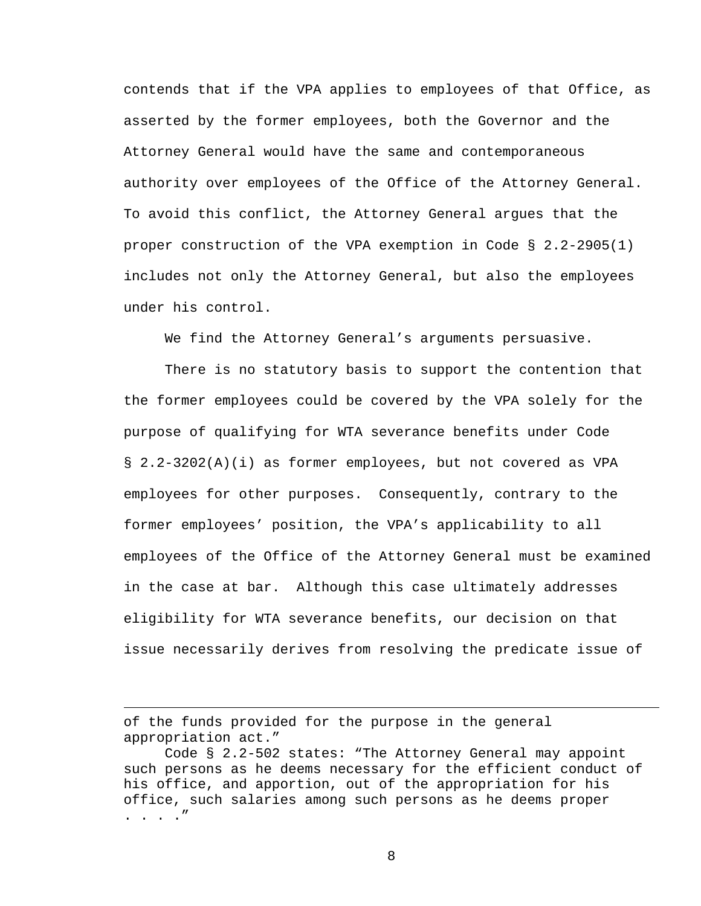contends that if the VPA applies to employees of that Office, as asserted by the former employees, both the Governor and the Attorney General would have the same and contemporaneous authority over employees of the Office of the Attorney General. To avoid this conflict, the Attorney General argues that the proper construction of the VPA exemption in Code § 2.2-2905(1) includes not only the Attorney General, but also the employees under his control.

We find the Attorney General's arguments persuasive.

There is no statutory basis to support the contention that the former employees could be covered by the VPA solely for the purpose of qualifying for WTA severance benefits under Code § 2.2-3202(A)(i) as former employees, but not covered as VPA employees for other purposes. Consequently, contrary to the former employees' position, the VPA's applicability to all employees of the Office of the Attorney General must be examined in the case at bar. Although this case ultimately addresses eligibility for WTA severance benefits, our decision on that issue necessarily derives from resolving the predicate issue of

of the funds provided for the purpose in the general appropriation act."

 $\overline{\phantom{0}}$ 

Code § 2.2-502 states: "The Attorney General may appoint such persons as he deems necessary for the efficient conduct of his office, and apportion, out of the appropriation for his office, such salaries among such persons as he deems proper . . . ."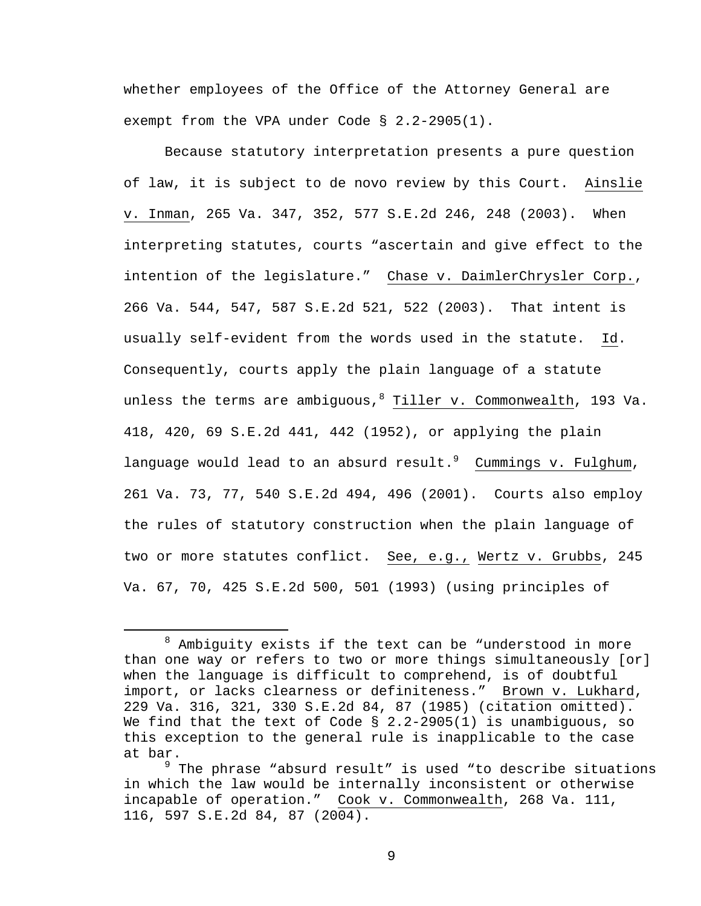whether employees of the Office of the Attorney General are exempt from the VPA under Code § 2.2-2905(1).

Because statutory interpretation presents a pure question of law, it is subject to de novo review by this Court. Ainslie v. Inman, 265 Va. 347, 352, 577 S.E.2d 246, 248 (2003). When interpreting statutes, courts "ascertain and give effect to the intention of the legislature." Chase v. DaimlerChrysler Corp., 266 Va. 544, 547, 587 S.E.2d 521, 522 (2003). That intent is usually self-evident from the words used in the statute. Id. Consequently, courts apply the plain language of a statute unless the terms are ambiguous,<sup>8</sup> Tiller v. Commonwealth, 193 Va. 418, 420, 69 S.E.2d 441, 442 (1952), or applying the plain language would lead to an absurd result.<sup>9</sup> Cummings v. Fulghum, 261 Va. 73, 77, 540 S.E.2d 494, 496 (2001). Courts also employ the rules of statutory construction when the plain language of two or more statutes conflict. See, e.g., Wertz v. Grubbs, 245 Va. 67, 70, 425 S.E.2d 500, 501 (1993) (using principles of

 <sup>8</sup>  $8$  Ambiguity exists if the text can be "understood in more than one way or refers to two or more things simultaneously [or] when the language is difficult to comprehend, is of doubtful import, or lacks clearness or definiteness." Brown v. Lukhard, 229 Va. 316, 321, 330 S.E.2d 84, 87 (1985) (citation omitted). We find that the text of Code  $\S$  2.2-2905(1) is unambiguous, so this exception to the general rule is inapplicable to the case at bar.

<sup>&</sup>lt;sup>9</sup> The phrase "absurd result" is used "to describe situations in which the law would be internally inconsistent or otherwise incapable of operation." Cook v. Commonwealth, 268 Va. 111, 116, 597 S.E.2d 84, 87 (2004).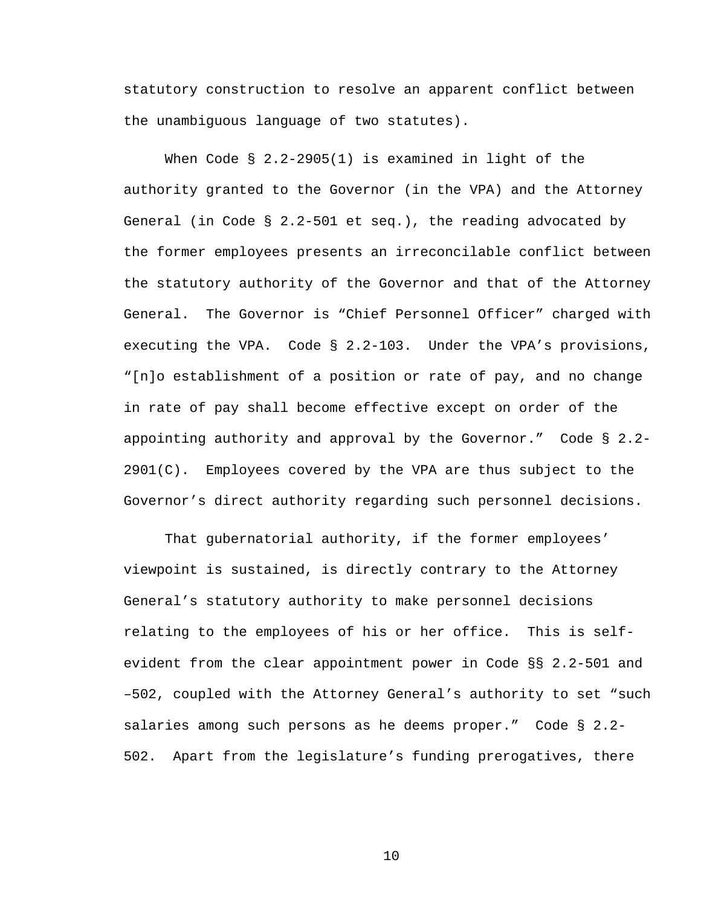statutory construction to resolve an apparent conflict between the unambiguous language of two statutes).

When Code § 2.2-2905(1) is examined in light of the authority granted to the Governor (in the VPA) and the Attorney General (in Code § 2.2-501 et seq.), the reading advocated by the former employees presents an irreconcilable conflict between the statutory authority of the Governor and that of the Attorney General. The Governor is "Chief Personnel Officer" charged with executing the VPA. Code § 2.2-103. Under the VPA's provisions, "[n]o establishment of a position or rate of pay, and no change in rate of pay shall become effective except on order of the appointing authority and approval by the Governor." Code § 2.2-  $2901(C)$ . Employees covered by the VPA are thus subject to the Governor's direct authority regarding such personnel decisions.

That gubernatorial authority, if the former employees' viewpoint is sustained, is directly contrary to the Attorney General's statutory authority to make personnel decisions relating to the employees of his or her office. This is selfevident from the clear appointment power in Code §§ 2.2-501 and –502, coupled with the Attorney General's authority to set "such salaries among such persons as he deems proper." Code § 2.2- 502. Apart from the legislature's funding prerogatives, there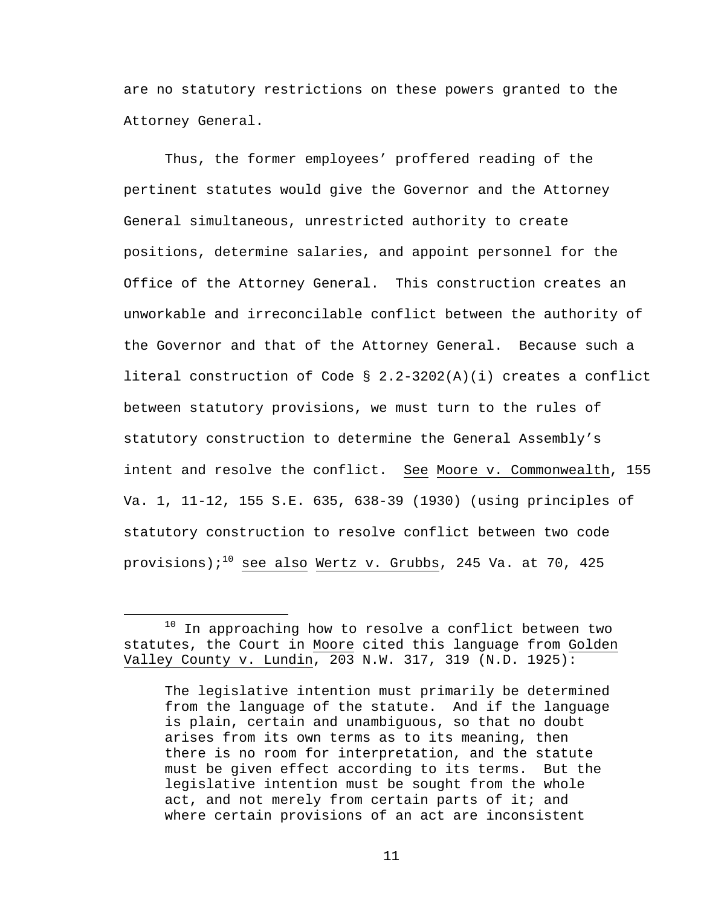are no statutory restrictions on these powers granted to the Attorney General.

Thus, the former employees' proffered reading of the pertinent statutes would give the Governor and the Attorney General simultaneous, unrestricted authority to create positions, determine salaries, and appoint personnel for the Office of the Attorney General. This construction creates an unworkable and irreconcilable conflict between the authority of the Governor and that of the Attorney General. Because such a literal construction of Code § 2.2-3202(A)(i) creates a conflict between statutory provisions, we must turn to the rules of statutory construction to determine the General Assembly's intent and resolve the conflict. See Moore v. Commonwealth, 155 Va. 1, 11-12, 155 S.E. 635, 638-39 (1930) (using principles of statutory construction to resolve conflict between two code provisions);<sup>10</sup> see also Wertz v. Grubbs, 245 Va. at 70, 425

 $10$  In approaching how to resolve a conflict between two statutes, the Court in Moore cited this language from Golden Valley County v. Lundin, 203 N.W. 317, 319 (N.D. 1925):

The legislative intention must primarily be determined from the language of the statute. And if the language is plain, certain and unambiguous, so that no doubt arises from its own terms as to its meaning, then there is no room for interpretation, and the statute must be given effect according to its terms. But the legislative intention must be sought from the whole act, and not merely from certain parts of it; and where certain provisions of an act are inconsistent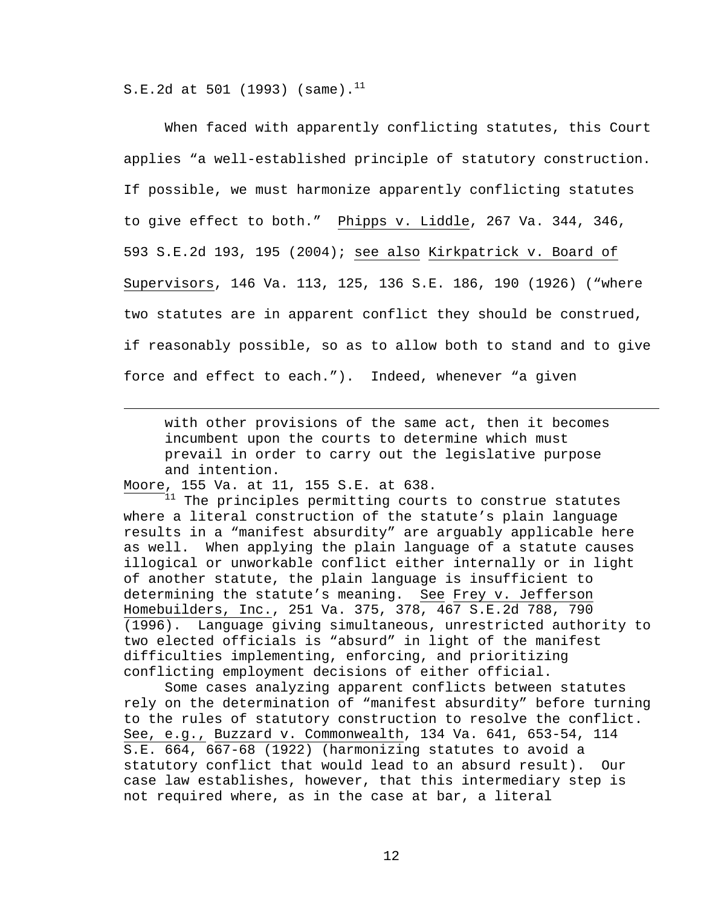S.E.2d at 501 (1993) (same).<sup>11</sup>

When faced with apparently conflicting statutes, this Court applies "a well-established principle of statutory construction. If possible, we must harmonize apparently conflicting statutes to give effect to both." Phipps v. Liddle, 267 Va. 344, 346, 593 S.E.2d 193, 195 (2004); see also Kirkpatrick v. Board of Supervisors, 146 Va. 113, 125, 136 S.E. 186, 190 (1926) ("where two statutes are in apparent conflict they should be construed, if reasonably possible, so as to allow both to stand and to give force and effect to each."). Indeed, whenever "a given

with other provisions of the same act, then it becomes incumbent upon the courts to determine which must prevail in order to carry out the legislative purpose and intention.

Moore, 155 Va. at 11, 155 S.E. at 638.

i

 $1^{11}$  The principles permitting courts to construe statutes where a literal construction of the statute's plain language results in a "manifest absurdity" are arguably applicable here as well. When applying the plain language of a statute causes illogical or unworkable conflict either internally or in light of another statute, the plain language is insufficient to determining the statute's meaning. See Frey v. Jefferson Homebuilders, Inc., 251 Va. 375, 378, 467 S.E.2d 788, 790 (1996). Language giving simultaneous, unrestricted authority to two elected officials is "absurd" in light of the manifest difficulties implementing, enforcing, and prioritizing conflicting employment decisions of either official.

Some cases analyzing apparent conflicts between statutes rely on the determination of "manifest absurdity" before turning to the rules of statutory construction to resolve the conflict. See, e.g., Buzzard v. Commonwealth, 134 Va. 641, 653-54, 114 S.E. 664, 667-68 (1922) (harmonizing statutes to avoid a statutory conflict that would lead to an absurd result). Our case law establishes, however, that this intermediary step is not required where, as in the case at bar, a literal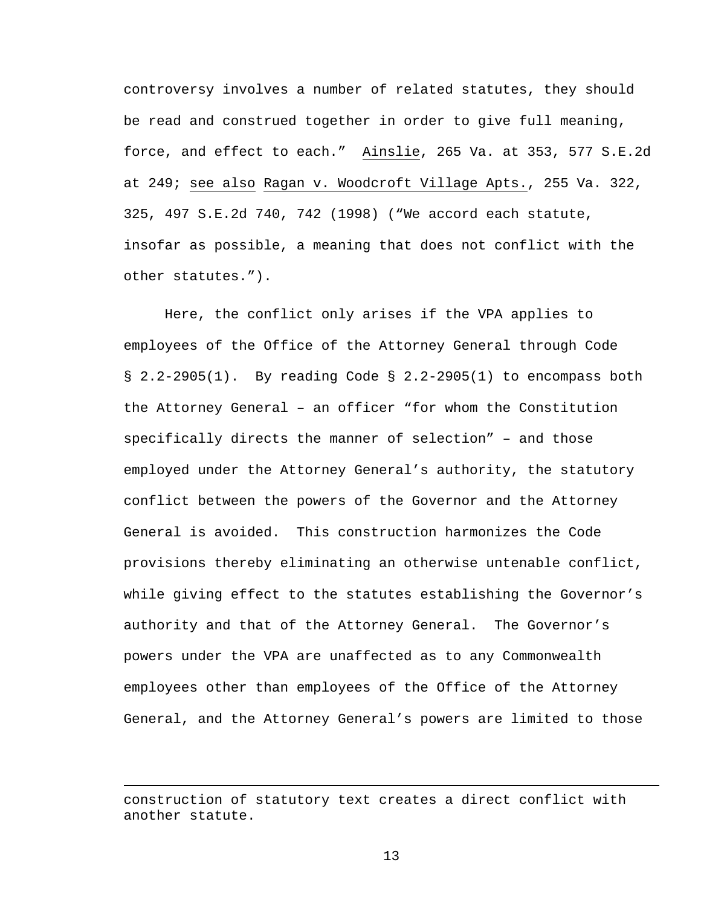controversy involves a number of related statutes, they should be read and construed together in order to give full meaning, force, and effect to each." Ainslie, 265 Va. at 353, 577 S.E.2d at 249; see also Ragan v. Woodcroft Village Apts., 255 Va. 322, 325, 497 S.E.2d 740, 742 (1998) ("We accord each statute, insofar as possible, a meaning that does not conflict with the other statutes.").

Here, the conflict only arises if the VPA applies to employees of the Office of the Attorney General through Code § 2.2-2905(1). By reading Code § 2.2-2905(1) to encompass both the Attorney General – an officer "for whom the Constitution specifically directs the manner of selection" – and those employed under the Attorney General's authority, the statutory conflict between the powers of the Governor and the Attorney General is avoided. This construction harmonizes the Code provisions thereby eliminating an otherwise untenable conflict, while giving effect to the statutes establishing the Governor's authority and that of the Attorney General. The Governor's powers under the VPA are unaffected as to any Commonwealth employees other than employees of the Office of the Attorney General, and the Attorney General's powers are limited to those

i<br>Li

construction of statutory text creates a direct conflict with another statute.